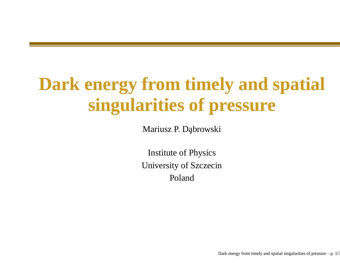# **Dark energy from timely and spatialsingularities of pressure**

Mariusz P. Dąbrowski

Institute of PhysicsUniversity of SzczecinPoland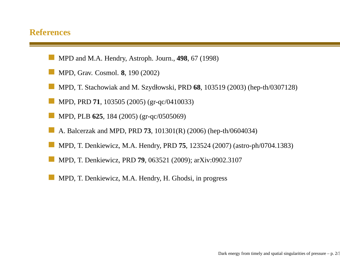### **References**

- MPD and M.A. Hendry, Astroph. Journ., **498**, 67 (1998)
- MPD, Grav. Cosmol. **8**, 190 (2002)
- MPD, T. Stachowiak and M. Szydłowski, PRD **<sup>68</sup>**, <sup>103519</sup> (2003) (hep-th/0307128)
- MPD, PRD **<sup>71</sup>**, <sup>103505</sup> (2005) (gr-qc/0410033)
- MPD, PLB **<sup>625</sup>**, <sup>184</sup> (2005) (gr-qc/0505069)
- A. Balcerzak and MPD, PRD **<sup>73</sup>**, 101301(R) (2006) (hep-th/0604034)
- MPD, T. Denkiewicz, M.A. Hendry, PRD **<sup>75</sup>**, <sup>123524</sup> (2007) (astro-ph/0704.1383)
- MPD, T. Denkiewicz, PRD **<sup>79</sup>**, <sup>063521</sup> (2009); arXiv:0902.3107
- MPD, T. Denkiewicz, M.A. Hendry, H. Ghodsi, in progress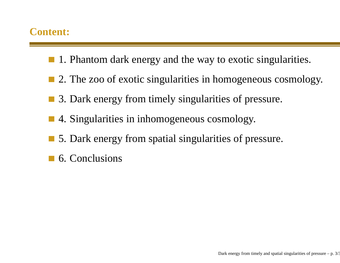# **Content:**

- 1. Phantom dark energy and the way to exotic singularities.
- 2. The zoo of exotic singularities in homogeneous cosmology.
- 3. Dark energy from timely singularities of pressure.
- 4. Singularities in inhomogeneous cosmology.
- 5. Dark energy from spatial singularities of pressure.
- 6. Conclusions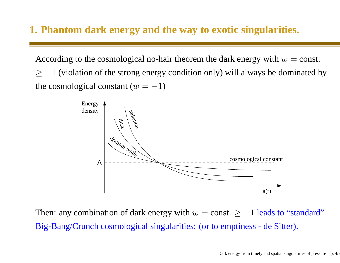# **1. Phantom dark energy and the way to exotic singularities.**

According to the cosmological no-hair theorem the dark energy with  $w=$  const.  $\geq -1$  (violation of the strong energy condition only) will always be dominated by the cosmological constant ( $w=-1$ )



Then: any combination of dark energy with  $w = \text{const.} \ge -1$  leads to "standard" Big-Bang/Crunch cosmological singularities: (or to emptiness - de Sitter).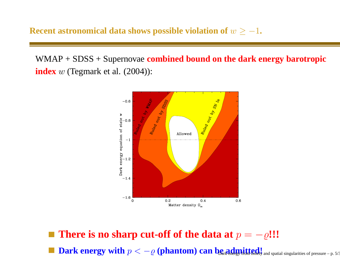**Recent astronomical data shows possible violation of**  $w \geq -1$ **.** 

WMAP <sup>+</sup> SDSS <sup>+</sup> Supernovae **combined bound on the dark energy barotropic index**w (Tegmark et al. (2004)):



- **There is no sharp cut-off of the data at**  $p=-$ %**!!!**
- $\bf {Dark~energy~ with}~ \it p < -\varrho~(phantom)~ can~ \rm bg$  and  $\bf 10$  and spatial singularities of pressure p. 5/38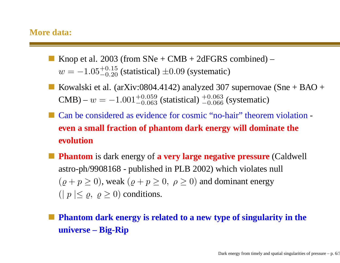### **More data:**

- Knop et al. 2003 (from  $SNe + CMB + 2dFGRS$  combined)  $w = -1.05^{+0.15}_{-0.20}$  (statistical)  $\pm 0.09$  (systematic)
- Kowalski et al. (arXiv:0804.4142) analyzed 307 supernovae (Sne <sup>+</sup> BAO <sup>+</sup>CMB) –  $w = -1.001_{-0.063}^{+0.059}$  (statistical)  $_{-0.066}^{+0.063}$  (systematic)
- Can be considered as evidence for cosmic "no-hair" theorem violation **even <sup>a</sup> small fraction of phantom dark energy will dominate theevolution**
- **Phantom** is dark energy of **<sup>a</sup> very large negative pressure** (Caldwell astro-ph/9908168 - published in PLB 2002) which violates null $(\varrho + p \ge 0)$ , weak  $(\varrho + p \ge 0, \ \rho \ge 0)$  and dominant energy  $(| p | \le \varrho, \varrho \ge 0)$  conditions.
- Phantom dark energy is related to a new type of singularity in the **universe – Big-Rip**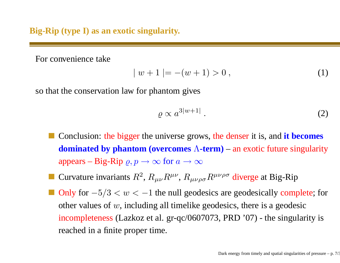For convenience take

$$
|w+1| = -(w+1) > 0, \tag{1}
$$

so that the conservation law for phantom gives

$$
\varrho \propto a^{3|w+1|} \,. \tag{2}
$$

- Conclusion: the bigger the universe grows, the denser it is, and **it becomes dominated by phantom (overcomes**Λ**-term)**–– an exotic future singularity appears – Big-Rip  $\rho, p \to \infty$  for  $a \to \infty$
- Curvature invariants  $R^2$ ,  $R_{\mu\nu}R^{\mu\nu}$ ,  $R_\mu$ <sup>2</sup>,  $R_{\mu\nu}R^{\mu\nu}$ ,  $R_{\mu\nu\rho\sigma}R^{\mu\nu\rho\sigma}$  diverge at Big-Rip
- Only for  $-5/3 < w < -1$  the null geodesics are geodesically complete; for other values of  $w,$  including all timelike geodesics, there is a geodesic incompleteness (Lazkoz et al. gr-qc/0607073, PRD '07) - the singularity is reached in <sup>a</sup> finite proper time.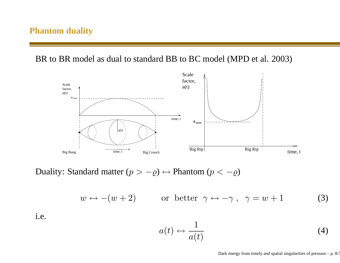BR to BR model as dual to standard BB to BC model (MPD et al. 2003)



Duality: Standard matter  $(p > -\varrho) \leftrightarrow \text{Phantom } (p < -\varrho)$ 

 $w \leftrightarrow -(w+2)$  or better  $\gamma \leftrightarrow -\gamma$ ,  $\gamma = w+1$  (3)

i.e.

$$
a(t) \leftrightarrow \frac{1}{a(t)} \tag{4}
$$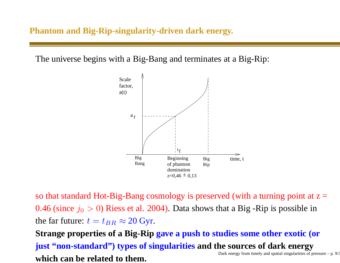### **Phantom and Big-Rip-singularity-driven dark energy.**

The universe begins with <sup>a</sup> Big-Bang and terminates at <sup>a</sup> Big-Rip:



so that standard Hot-Big-Bang cosmology is preserved (with a turning point at  $z =$ 0.46 (since  $j_0>0$ ) Riess et al. 2004). Data shows that a Big -Rip is possible in the far future:  $t=t_{BR}\approx 20$  Gyr.

Strange properties of a Big-Rip <mark>gave a push to studies some other exotic</mark> (or **just "non-standard") types of singularities and the sources of dark energy**Dark energy from timely and spatial singularities of pressure  $- p. 9/3$ **which can be related to them.**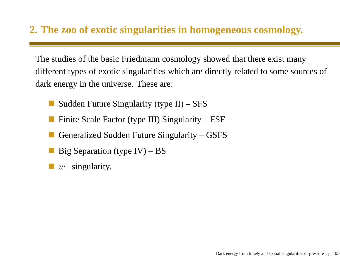# **2. The zoo of exotic singularities in homogeneous cosmology.**

The studies of the basic Friedmann cosmology showed that there exist manydifferent types of exotic singularities which are directly related to some sources of dark energy in the universe. These are:

- Sudden Future Singularity (type II) SFS
- Finite Scale Factor (type III) Singularity FSF
- Generalized Sudden Future Singularity GSFS
- Big Separation (type IV) BS
- $w-$ singularity.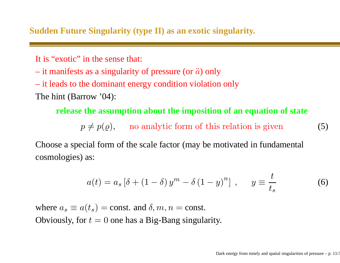## **Sudden Future Singularity (type II) as an exotic singularity.**

It is "exotic" in the sense that:

it manifests as a singularity of pressure (or  $\ddot{a}$ ) only

it leads to the dominant energy condition violation only

The hint (Barrow '04):

## **release the assumption about the imposition of an equation of state**

 $p\neq p(\varrho),\quad \text{ no analytic form of this relation is given}$ 

Choose <sup>a</sup> special form of the scale factor (may be motivated in fundamental cosmologies) as:

$$
a(t) = a_s [\delta + (1 - \delta) y^m - \delta (1 - y)^n], \quad y \equiv \frac{t}{t_s}
$$
 (6)

where  $a_s \equiv a(t_s) = \text{const.}$  and  $\delta, m, n = \text{const.}$ Obviously, for  $t = 0$  one has a Big-Bang singularity. (5)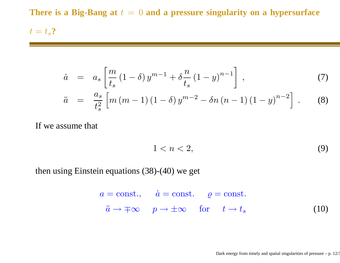There is a Big-Bang at  $t=0$  and a pressure singularity on a hypersurface

 $t = t_s$ ?

$$
\dot{a} = a_s \left[ \frac{m}{t_s} (1 - \delta) y^{m-1} + \delta \frac{n}{t_s} (1 - y)^{n-1} \right],
$$
\n
$$
\ddot{a} = \frac{a_s}{t_s^2} \left[ m (m - 1) (1 - \delta) y^{m-2} - \delta n (n - 1) (1 - y)^{n-2} \right].
$$
\n(8)

If we assume that

$$
1 < n < 2,\tag{9}
$$

then using Einstein equations (38)-(40) we ge<sup>t</sup>

$$
a = \text{const.}, \quad \dot{a} = \text{const.}, \quad \varrho = \text{const.}
$$
  
 $\ddot{a} \rightarrow \mp \infty, \quad p \rightarrow \pm \infty \quad \text{for} \quad t \rightarrow t_s$  (10)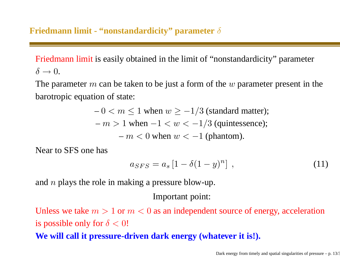Friedmann limit is easily obtained in the limit of "nonstandardicity" parameter $\delta\rightarrow0.$ 

The parameter  $m$  can be taken to be just a form of the  $w$  parameter present in the barotropic equation of state:

$$
-0 < m \leq 1
$$
 when  $w \geq -1/3$  (standard matter);  $-m > 1$  when  $-1 < w < -1/3$  (quintessence);  $-m < 0$  when  $w < -1$  (phantom).

Near to SFS one has

$$
a_{SFS} = a_s [1 - \delta (1 - y)^n], \qquad (11)
$$

and  $n$  plays the role in making a pressure blow-up.

Important point:

Unless we take  $m > 1$  or  $m < 0$  as an independent source of energy, acceleration is possible only for  $\delta < 0!$ 

**We will call it pressure-driven dark energy (whatever it is!).**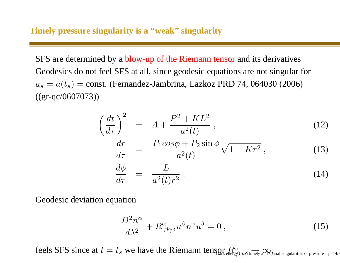SFS are determined by <sup>a</sup> blow-up of the Riemann tensor and its derivatives Geodesics do not feel SFS at all, since geodesic equations are not singular for $a_s = a(t_s) = \text{const.}$  (Fernandez-Jambrina, Lazkoz PRD 74, 064030 (2006) ((gr-qc/0607073))

$$
\left(\frac{dt}{d\tau}\right)^2 = A + \frac{P^2 + KL^2}{a^2(t)},\tag{12}
$$

$$
\frac{dr}{d\tau} = \frac{P_1 \cos \phi + P_2 \sin \phi}{a^2(t)} \sqrt{1 - Kr^2},\tag{13}
$$

$$
\frac{d\phi}{d\tau} = \frac{L}{a^2(t)r^2} \,. \tag{14}
$$

Geodesic deviation equation

$$
\frac{D^2 n^{\alpha}}{d\lambda^2} + R^{\alpha}_{\ \beta\gamma\delta} u^{\beta} n^{\gamma} u^{\delta} = 0 , \qquad (15)
$$

feels SFS since at  $t$  $= t$  $t_s$  we have the Riemann tensor  $R^{\alpha}_{\text{\tiny{max}}}$ Bark energy from timely and spatial singularities of pressure – p. 14/3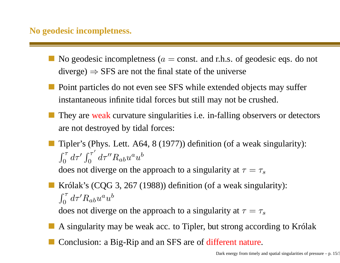## **No geodesic incompletness.**

- No geodesic incompletness ( $a =$  const. and r.h.s. of geodesic eqs. do not diverge)  $\Rightarrow$  SFS are not the final state of the universe
- **Point particles do not even see SFS while extended objects may suffer** instantaneous infinite tidal forces but still may not be crushed.
- They are weak curvature singularities i.e. in-falling observers or detectors are not destroyed by tidal forces:
- Tipler's (Phys. Lett. A64, 8 (1977)) definition (of <sup>a</sup> weak singularity): $\int_0^\tau d\tau' \int_0^{\tau'}$  $\int_0^\tau\,d\tau''R_{ab}u^au^b$ does not diverge on the approach to a singularity at  $\tau=\tau_s$
- Królak's (CQG 3, 267 (1988)) definition (of a weak singularity):  $\int_0^{\tau} d\tau' R_{ab} u^a u^b$ does not diverge on the approach to a singularity at  $\tau=\tau_s$
- A singularity may be weak acc. to Tipler, but strong according to Królak
- Conclusion: <sup>a</sup> Big-Rip and an SFS are of different nature.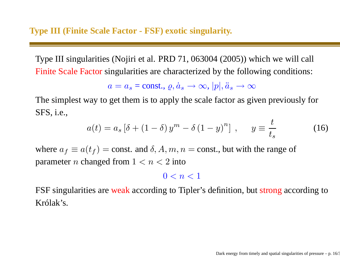Type III singularities (Nojiri et al. PRD 71, 063004 (2005)) which we will call Finite Scale Factor singularities are characterized by the following conditions:

$$
a = a_s = \text{const.}, \, \varrho, \dot{a}_s \to \infty, \, |p|, \ddot{a}_s \to \infty
$$

 The simplest way to ge<sup>t</sup> them is to apply the scale factor as given previously forSFS, i.e.,

$$
a(t) = a_s [\delta + (1 - \delta) y^m - \delta (1 - y)^n], \quad y \equiv \frac{t}{t_s}
$$
 (16)

where  $a_f \equiv a(t_f) = \text{const.}$  and  $\delta, A, m, n = \text{const.}$ , but with the range of parameter  $n$  changed from  $1 < n < 2$  into

# <span id="page-15-0"></span> $0 < n < 1$

FSF singularities are weak according to Tipler's definition, but strong according to Królak's.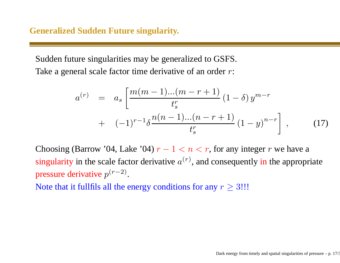Sudden future singularities may be generalized to GSFS. Take a general scale factor time derivative of an order  $r\colon$ 

$$
a^{(r)} = a_s \left[ \frac{m(m-1)...(m-r+1)}{t_s^r} (1-\delta) y^{m-r} + (-1)^{r-1} \delta \frac{n(n-1)...(n-r+1)}{t_s^r} (1-y)^{n-r} \right], \quad (17)
$$

Choosing (Barrow '04, Lake '04)  $r-1 < n < r$ , for any integer  $r$  we have a singularity in the scale factor derivative  $a^{(r)}$ , and consequently in the appropriate pressure derivative  $p^{(r-2)}$ .

Note that it fullfils all the energy conditions for any  $r\geq 3!!!$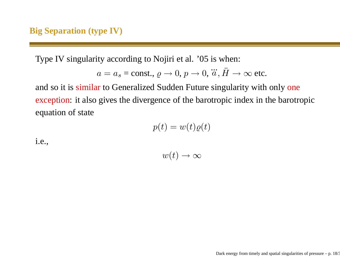Type IV singularity according to Nojiri et al. '05 is when:

$$
a = a_s = \text{const.}, \, \rho \to 0, \, p \to 0, \, \dddot{a}, \ddot{H} \to \infty \text{ etc.}
$$

and so it is similar to Generalized Sudden Future singularity with only <mark>one</mark> exception: it also gives the divergence of the barotropic index in the barotropicequation of state

$$
p(t) = w(t)\varrho(t)
$$

i.e.,

 $w(t) \rightarrow \infty$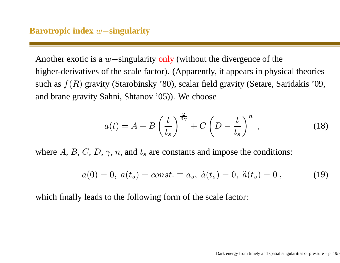Another exotic is a  $w$ −singularity only (without the divergence of the higher-derivatives of the scale factor). (Apparently, it appears in physical theoriessuch as  $f(R)$  gravity (Starobinsky '80), scalar field gravity (Setare, Saridakis '09, and brane gravity Sahni, Shtanov '05)). We choose

$$
a(t) = A + B\left(\frac{t}{t_s}\right)^{\frac{2}{3\gamma}} + C\left(D - \frac{t}{t_s}\right)^n,
$$
\n(18)

where  $A, B, C, D, \gamma, n$ , and  $t_s$  are constants and impose the conditions:

$$
a(0) = 0, \ a(t_s) = const. \equiv a_s, \ \dot{a}(t_s) = 0, \ \ddot{a}(t_s) = 0 \,, \tag{19}
$$

which finally leads to the following form of the scale factor: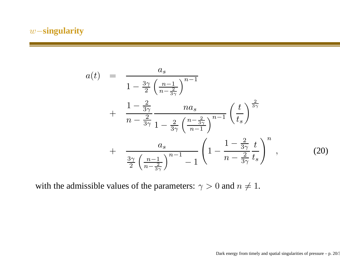# <sup>w</sup>−**singularity**

$$
a(t) = \frac{a_s}{1 - \frac{3\gamma}{2} \left(\frac{n-1}{n-\frac{2}{3\gamma}}\right)^{n-1}} + \frac{1 - \frac{2}{3\gamma}}{n - \frac{2}{3\gamma}} \frac{n a_s}{1 - \frac{2}{3\gamma} \left(\frac{n-\frac{2}{3\gamma}}{n-1}\right)^{n-1}} \left(\frac{t}{t_s}\right)^{\frac{2}{3\gamma}} + \frac{a_s}{\frac{3\gamma}{2} \left(\frac{n-1}{n-\frac{2}{3\gamma}}\right)^{n-1} - 1} \left(1 - \frac{1 - \frac{2}{3\gamma}}{n - \frac{2}{3\gamma}} \frac{t}{t_s}\right)^n , \tag{20}
$$

with the admissible values of the parameters:  $\gamma > 0$  and  $n \neq 1$ .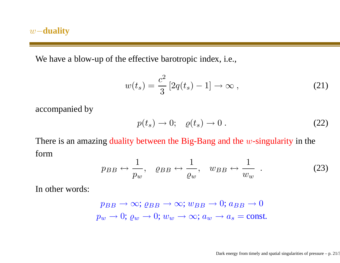<sup>w</sup>−**duality**

We have <sup>a</sup> blow-up of the effective barotropic index, i.e.,

$$
w(t_s) = \frac{c^2}{3} [2q(t_s) - 1] \to \infty , \qquad (21)
$$

accompanied by

$$
p(t_s) \to 0; \quad \varrho(t_s) \to 0. \tag{22}
$$

There is an amazing duality between the  $\operatorname{Big-Bang}$  and the  $w$ -singularity in the form

$$
p_{BB} \leftrightarrow \frac{1}{p_w}, \quad \varrho_{BB} \leftrightarrow \frac{1}{\varrho_w}, \quad w_{BB} \leftrightarrow \frac{1}{w_w} \quad . \tag{23}
$$

In other words:

$$
p_{BB} \to \infty; \, \varrho_{BB} \to \infty; \, w_{BB} \to 0; \, a_{BB} \to 0
$$
  

$$
p_w \to 0; \, \varrho_w \to 0; \, w_w \to \infty; \, a_w \to a_s = \text{const.}
$$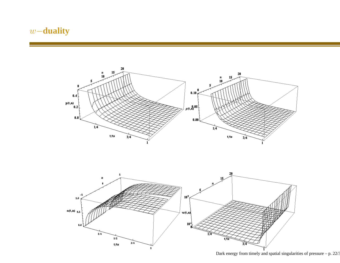<sup>w</sup>−**duality**





Dark energy from timely and spatial singularities of pressure  $-$  p. 22/3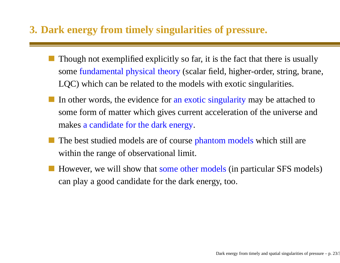# **3. Dark energy from timely singularities of pressure.**

- Though not exemplified explicitly so far, it is the fact that there is usuallysome fundamental <sup>p</sup>hysical theory (scalar field, higher-order, string, brane, LQC) which can be related to the models with exotic singularities.
- In other words, the evidence for <mark>an exotic</mark> singularity may be attached to some form of matter which gives current acceleration of the universe andmakes <sup>a</sup> candidate for the dark energy.
- The best studied models are of course phantom models which still are within the range of observational limit.
- However, we will show that some other models (in particular SFS models) can play <sup>a</sup> good candidate for the dark energy, too.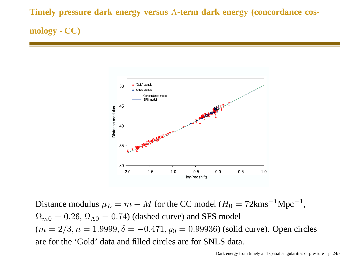# **Timely pressure dark energy versus**Λ**-term dark energy (concordance cos-**

## **mology - CC)**



Distance modulus  $\mu_L = m - M$  for the CC model  $(H_0 = 72 \text{km s}^{-1} \text{Mpc}^{-1})$  $\Omega_{m0}=0.26,$   $\Omega_{\Lambda0}=0.74$ ) (dashed curve) and SFS model , $(m = 2/3, n = 1.9999, \delta = -$  are for the 'Gold' data and filled circles are for SNLS data.  $0.471, y_0 = 0.99936$ ) (solid curve). Open circles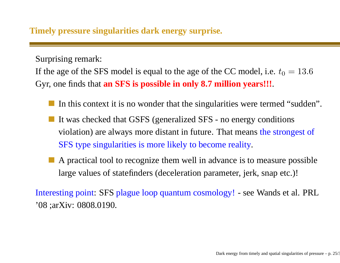Surprising remark:

If the age of the SFS model is equal to the age of the CC model, i.e.  $t_0 = 13.6$ Gyr, one finds that **an SFS is possible in only 8.7 million years!!!**.

- In this context it is no wonder that the singularities were termed "sudden".
- It was checked that GSFS (generalized SFS no energy conditionsviolation) are always more distant in future. That means the strongest of SFS type singularities is more likely to become reality.
- A practical tool to recognize them well in advance is to measure possible large values of statefinders (deceleration parameter, jerk, snap etc.)!

Interesting point: SFS <sup>p</sup>lague loop quantum cosmology! - see Wands et al. PRL'08 ;arXiv: 0808.0190.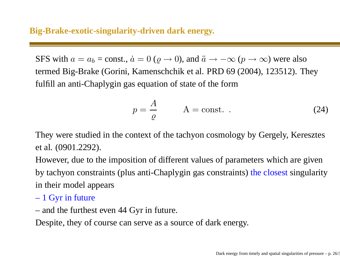SFS with  $a = a_b = \text{const.}$ ,  $\dot{a} = 0$  ( $\varrho \to 0$ ), and  $\ddot{a} \to -\infty$  ( $p \to \infty$ ) were also termed Big-Brake (Gorini, Kamenschchik et al. PRD 69 (2004), 123512). Theyfulfill an anti-Chaplygin gas equation of state of the form

$$
p = \frac{A}{\varrho} \qquad A = \text{const.} \tag{24}
$$

They were studied in the context of the tachyon cosmology by Gergely, Kereszteset al. (0901.2292).

However, due to the imposition of different values of parameters which are givenby tachyon constraints (plus anti-Chaplygin gas constraints) t<mark>he closes</mark>t singularity in their model appears

- 1 Gyr in future
- and the furthest even 44 Gyr in future.

Despite, they of course can serve as <sup>a</sup> source of dark energy.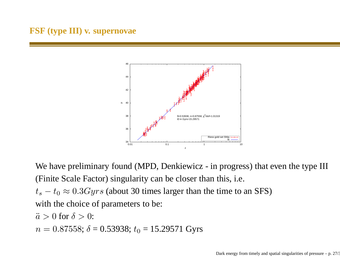## **FSF (type III) v. supernovae**



We have preliminary found (MPD, Denkiewicz - in progress) that even the type III (Finite Scale Factor) singularity can be closer than this, i.e.

 $t_s - t_0 \approx 0.3 Gyrs$  (about 30 times larger than the time to an SFS) with the choice of parameters to be:

$$
\ddot{a} > 0 \text{ for } \delta > 0:
$$
  

$$
n = 0.87558; \delta = 0.53938; t_0 = 15.29571 \text{ Gyrs}
$$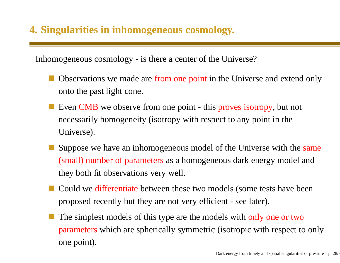# **4. Singularities in inhomogeneous cosmology.**

Inhomogeneous cosmology - is there <sup>a</sup> center of the Universe?

- Observations we made are from one point in the Universe and extend onlyonto the pas<sup>t</sup> light cone.
- Even CMB we observe from one point this proves isotropy, but not necessarily homogeneity (isotropy with respec<sup>t</sup> to any point in theUniverse).
- Suppose we have an inhomogeneous model of the Universe with the same (small) number of parameters as <sup>a</sup> homogeneous dark energy model andthey both fit observations very well.
- Could we differentiate between these two models (some tests have beenproposed recently but they are not very efficient - see later).
- The simplest models of this type are the models with only one or two parameters which are spherically symmetric (isotropic with respec<sup>t</sup> to only one point).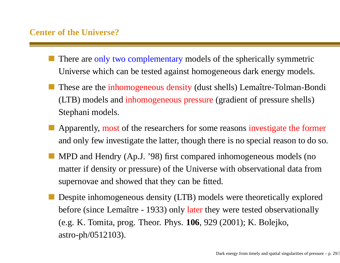## **Center of the Universe?**

- There are only two complementary models of the spherically symmetric Universe which can be tested against homogeneous dark energy models.
- These are the inhomogeneous density (dust shells) Lemaître-Tolman-Bondi (LTB) models and inhomogeneous pressure (gradient of pressure shells) Stephani models.
- Apparently, most of the researchers for some reasons investigate the former and only few investigate the latter, though there is no special reason to do so.
- MPD and Hendry (Ap.J. '98) first compared inhomogeneous models (nomatter if density or pressure) of the Universe with observational data fromsupernovae and showed that they can be fitted.
- Despite inhomogeneous density (LTB) models were theoretically exploredbefore (since Lemaître - 1933) only later they were tested observationally(e.g. K. Tomita, prog. Theor. Phys. **106**, 929 (2001); K. Bolejko, astro-ph/0512103).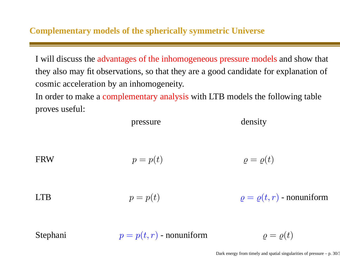# **Complementary models of the spherically symmetric Universe**

I will discuss the advantages of the inhomogeneous pressure models and show that they also may fit observations, so that they are <sup>a</sup> good candidate for explanation ofcosmic acceleration by an inhomogeneity.

In order to make <sup>a</sup> complementary analysis with LTB models the following table proves useful:

|            | pressure   | density                         |
|------------|------------|---------------------------------|
| <b>FRW</b> | $p = p(t)$ | $\rho = \varrho(t)$             |
| <b>LTB</b> | $p = p(t)$ | $\rho = \rho(t,r)$ - nonuniform |

| $p = p(t, r)$ - nonuniform<br>Stephani | $\rho = \varrho(t)$ |  |
|----------------------------------------|---------------------|--|
|----------------------------------------|---------------------|--|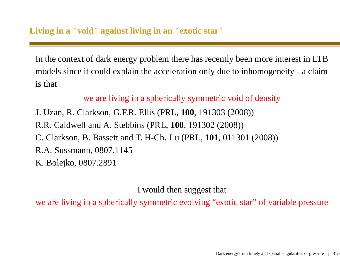In the context of dark energy problem there has recently been more interest in LTB models since it could explain the acceleration only due to inhomogeneity - <sup>a</sup> claimis that

we are living in <sup>a</sup> spherically symmetric void of density

J. Uzan, R. Clarkson, G.F.R. Ellis (PRL, **100**, 191303 (2008))R.R. Caldwell and A. Stebbins (PRL, **100**, 191302 (2008))C. Clarkson, B. Bassett and T. H-Ch. Lu (PRL, **101**, 011301 (2008))R.A. Sussmann, 0807.1145K. Bolejko, 0807.2891

I would then sugges<sup>t</sup> that

we are living in <sup>a</sup> spherically symmetric evolving "exotic star" of variable pressure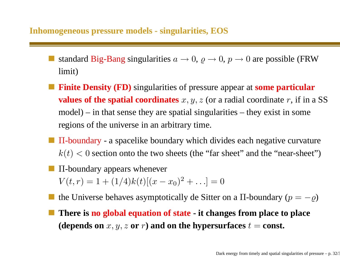### **Inhomogeneous pressure models - singularities, EOS**

- standard  $\operatorname{\sf Big\text{-}Bang}$  singularities  $a\to 0, \varrho\to 0, p\to 0$  are possible (FRW limit)
- **Finite Density (FD)** singularities of pressure appear at **some particularvalues of the spatial coordinates**  $x, y, z$  (or a radial coordinate  $r$ , if in a SS model) – in that sense they are spatial singularities – they exist in someregions of the universe in an arbitrary time.
- $\Pi$ -boundary a spacelike boundary which divides each negative curvature  $k(t) < 0$  section onto the two sheets (the "far sheet" and the "near-sheet")
- Π-boundary appears whenever $V(t,r) = 1 + (1/4)k(t)[(x-x_0)^2]$  $^{2} + ...$ ] = 0
- the Universe behaves asymptotically de Sitter on a  $\Pi$ -boundary ( $p=-\varrho$ )
- There is <mark>no global equation of state -</mark> it changes from place to place (depends on  $x, y, z$  or  $r$ ) and on the hypersurfaces  $t =$  const.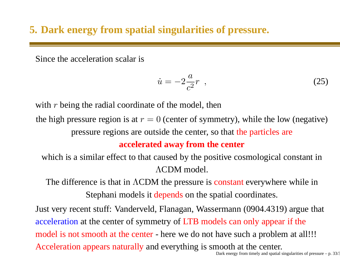# **5. Dark energy from spatial singularities of pressure.**

Since the acceleration scalar is

$$
\dot{u} = -2\frac{a}{c^2}r \tag{25}
$$

with  $r$  being the radial coordinate of the model, then

the high pressure region is at  $r = 0$  (center of symmetry), while the low (negative)

pressure regions are outside the center, so that the particles are

#### **accelerated away from the center**

which is a similar effect to that caused by the positive cosmological constant in ΛCDM model.

The difference is that in  $\Lambda$ CDM the pressure is constant everywhere while in Stephani models it <mark>depends</mark> on the spatial coordinates.

Just very recent stuff: Vanderveld, Flanagan, Wassermann (0904.4319) argue thatacceleration at the center of symmetry of LTB models can only appear if the model is not smooth at the center - here we do not have such <sup>a</sup> problem at all!!! Acceleration appears naturally and everything is smooth at the center. Dark energy from timely and spatial singularities of pressure  $-$  p. 33/3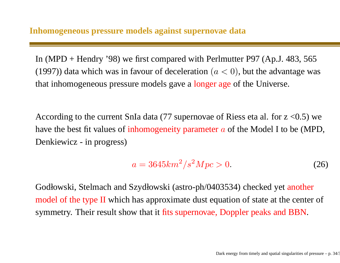In (MPD <sup>+</sup> Hendry '98) we first compared with Perlmutter P97 (Ap.J. 483, 565(1997)) data which was in favour of deceleration  $(a < 0)$ , but the advantage was that inhomogeneous pressure models gave a <mark>longer age</mark> of the Universe.

According to the current SnIa data (77 supernovae of Riess eta al. for  $z \le 0.5$ ) we have the best fit values of inhomogeneity parameter  $a$  of the Model I to be (MPD, Denkiewicz - in progress)

$$
a = 3645km^2/s^2Mpc > 0.
$$
 (26)

Godłowski, Stelmach and Szydłowski (astro-ph/0403534) checked ye<sup>t</sup> anothermodel of the type II which has approximate dust equation of state at the center of symmetry. Their result show that it fits supernovae, Doppler peaks and BBN.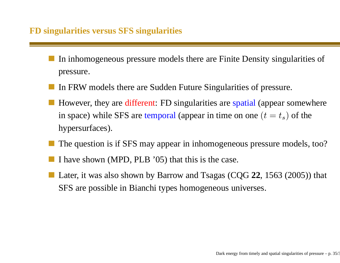## **FD singularities versus SFS singularities**

- In inhomogeneous pressure models there are Finite Density singularities ofpressure.
- In FRW models there are Sudden Future Singularities of pressure.
- However, they are different: FD singularities are spatial (appear somewhere in space) while SFS are temporal (appear in time on one  $(t=t_s)$  of the hypersurfaces).
- The question is if SFS may appear in inhomogeneous pressure models, too?
- I have shown (MPD, PLB '05) that this is the case.
- Later, it was also shown by Barrow and Tsagas (CQG **<sup>22</sup>**, <sup>1563</sup> (2005)) that SFS are possible in Bianchi types homogeneous universes.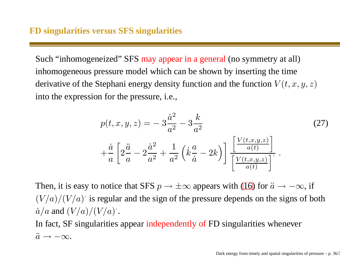Such "inhomogeneized" SFS may appear in a general (no symmetry at all) inhomogeneous pressure model which can be shown by inserting the timederivative of the Stephani energy density function and the function  $V(t, x, y, z)$ into the expression for the pressure, i.e.,

$$
p(t, x, y, z) = -3\frac{\dot{a}^2}{a^2} - 3\frac{k}{a^2}
$$
\n
$$
+\frac{\dot{a}}{a}\left[2\frac{\ddot{a}}{a} - 2\frac{\dot{a}^2}{a^2} + \frac{1}{a^2}\left(\dot{k}\frac{a}{\dot{a}} - 2k\right)\right] \frac{\left[\frac{V(t, x, y, z)}{a(t)}\right]}{\left[\frac{V(t, x, y, z)}{a(t)}\right]}.
$$
\n(27)

Then, it is easy to notice that SFS  $p \to \pm \infty$  appears with [\(16\)](#page-15-0) for  $\ddot{a} \to -\infty$ , if  $(V/a)/(V/a)$  is regular and the sign of the pressure depends on the signs of both  $\dot{a}/a$  and  $(V/a)/(V/a)^2$ .

 In fact, SF singularities appear independently of FD singularities whenever  $\ddot{a} \rightarrow -\infty.$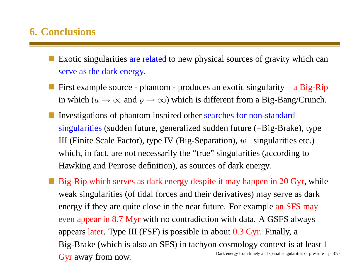# **6. Conclusions**

- Exotic singularities are related to new <sup>p</sup>hysical sources of gravity which can serve as the dark energy.
- First example source phantom produces an exotic singularity <sup>a</sup> Big-Rip in which ( $a \to \infty$  and  $\varrho \to \infty$ ) which is different from a Big-Bang/Crunch.
- Investigations of phantom inspired other searches for non-standardsingularities (sudden future, generalized sudden future (=Big-Brake), typeIII (Finite Scale Factor), type IV (Big-Separation), <sup>w</sup>−singularities etc.)which, in fact, are not necessarily the "true" singularities (according to Hawking and Penrose definition), as sources of dark energy.
- Big-Rip which serves as dark energy despite it may happen in 20 Gyr, whileweak singularities (of tidal forces and their derivatives) may serve as darkenergy if they are quite close in the near future. For example an SFS mayeven appear in 8.7 Myr with no contradiction with data. <sup>A</sup> GSFS alwaysappears later. Type III (FSF) is possible in about 0.3 Gyr. Finally, a Big-Brake (which is also an SFS) in tachyon cosmology context is at least 1Dark energy from timely and spatial singularities of pressure  $-p$ . 37/3  $\bf Gyr$  away from now. Dark energy from timely and spatial singularities of pressure – p. 37/3